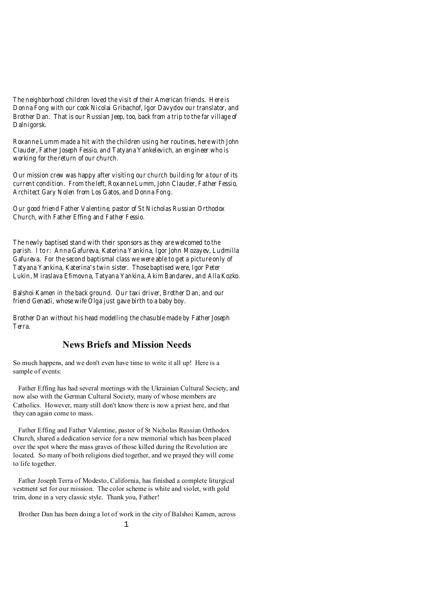*The neighborhood children loved the visit of their American friends. Here is Donna Fong with our cook Nicolai Gribachof, Igor Davydov our translator, and Brother Dan. That is our Russian Jeep, too, back from a trip to the far village of Dalnigorsk.* 

*Roxanne Lumm made a hit with the children using her routines, here with John Clauder, Father Joseph Fessio, and Tatyana Yankelevich, an engineer who is working for the return of our church.* 

*Our mission crew was happy after visiting our church building for a tour of its current condition. From the left, Roxanne Lumm, John Clauder, Father Fessio, Architect Gary Nolen from Los Gatos, and Donna Fong.*

*Our good friend Father Valentine, pastor of St Nicholas Russian Orthodox Church, with Father Effing and Father Fessio.* 

*The newly baptised stand with their sponsors as they are welcomed to the parish. l to r: Anna Gafureva, Katerina Yankina, Igor John Mozayev, Ludmilla Gafureva. For the second baptismal class we were able to get a picture only of Tatyana Yankina, Katerina's twin sister. Those baptised were, Igor Peter Lukin, Miraslava Efimovna, Tatyana Yankina, Akim Bandarev, and Alla Kozko.* 

*Balshoi Kamen in the back ground. Our taxi driver, Brother Dan, and our friend Genadi, whose wife Olga just gave birth to a baby boy.* 

*Brother Dan without his head modelling the chasuble made by Father Joseph Terra.* 

## **News Briefs and Mission Needs**

So much happens, and we don't even have time to write it all up! Here is a sample of events:

 Father Effing has had several meetings with the Ukrainian Cultural Society, and now also with the German Cultural Society, many of whose members are Catholics. However, many still don't know there is now a priest here, and that they can again come to mass.

 Father Effing and Father Valentine, pastor of St Nicholas Russian Orthodox Church, shared a dedication service for a new memorial which has been placed over the spot where the mass graves of those killed during the Revolution are located. So many of both religions died together, and we prayed they will come to life together.

 Father Joseph Terra of Modesto, California, has finished a complete liturgical vestment set for our mission. The color scheme is white and violet, with gold trim, done in a very classic style. Thank you, Father!

Brother Dan has been doing a lot of work in the city of Balshoi Kamen, across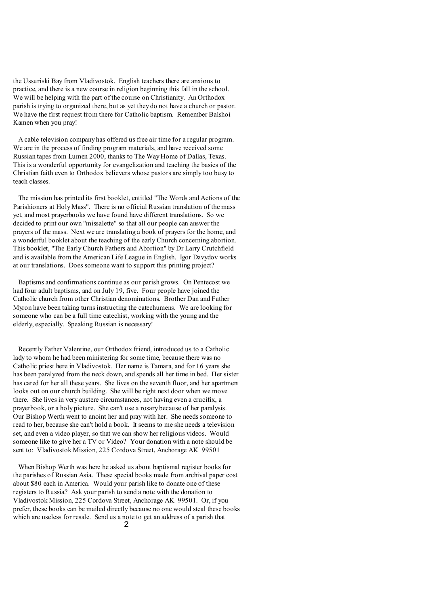the Ussuriski Bay from Vladivostok. English teachers there are anxious to practice, and there is a new course in religion beginning this fall in the school. We will be helping with the part of the course on Christianity. An Orthodox parish is trying to organized there, but as yet they do not have a church or pastor. We have the first request from there for Catholic baptism. Remember Balshoi Kamen when you pray!

 A cable television company has offered us free air time for a regular program. We are in the process of finding program materials, and have received some Russian tapes from Lumen 2000, thanks to The Way Home of Dallas, Texas. This is a wonderful opportunity for evangelization and teaching the basics of the Christian faith even to Orthodox believers whose pastors are simply too busy to teach classes.

 The mission has printed its first booklet, entitled "The Words and Actions of the Parishioners at Holy Mass". There is no official Russian translation of the mass yet, and most prayerbooks we have found have different translations. So we decided to print our own "missalette" so that all our people can answer the prayers of the mass. Next we are translating a book of prayers for the home, and a wonderful booklet about the teaching of the early Church concerning abortion. This booklet, "The Early Church Fathers and Abortion" by Dr Larry Crutchfield and is available from the American Life League in English. Igor Davydov works at our translations. Does someone want to support this printing project?

 Baptisms and confirmations continue as our parish grows. On Pentecost we had four adult baptisms, and on July 19, five. Four people have joined the Catholic church from other Christian denominations. Brother Dan and Father Myron have been taking turns instructing the catechumens. We are looking for someone who can be a full time catechist, working with the young and the elderly, especially. Speaking Russian is necessary!

 Recently Father Valentine, our Orthodox friend, introduced us to a Catholic lady to whom he had been ministering for some time, because there was no Catholic priest here in Vladivostok. Her name is Tamara, and for 16 years she has been paralyzed from the neck down, and spends all her time in bed. Her sister has cared for her all these years. She lives on the seventh floor, and her apartment looks out on our church building. She will be right next door when we move there. She lives in very austere circumstances, not having even a crucifix, a prayerbook, or a holy picture. She can't use a rosary because of her paralysis. Our Bishop Werth went to anoint her and pray with her. She needs someone to read to her, because she can't hold a book. It seems to me she needs a television set, and even a video player, so that we can show her religious videos. Would someone like to give her a TV or Video? Your donation with a note should be sent to: Vladivostok Mission, 225 Cordova Street, Anchorage AK 99501

 When Bishop Werth was here he asked us about baptismal register books for the parishes of Russian Asia. These special books made from archival paper cost about \$80 each in America. Would your parish like to donate one of these registers to Russia? Ask your parish to send a note with the donation to Vladivostok Mission, 225 Cordova Street, Anchorage AK 99501. Or, if you prefer, these books can be mailed directly because no one would steal these books which are useless for resale. Send us a note to get an address of a parish that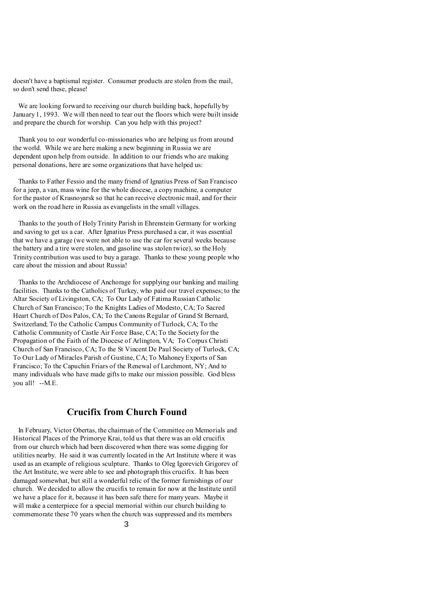doesn't have a baptismal register. Consumer products are stolen from the mail, so don't send these, please!

 We are looking forward to receiving our church building back, hopefully by January 1, 1993. We will then need to tear out the floors which were built inside and prepare the church for worship. Can you help with this project?

 Thank you to our wonderful co-missionaries who are helping us from around the world. While we are here making a new beginning in Russia we are dependent upon help from outside. In addition to our friends who are making personal donations, here are some organizations that have helped us:

 Thanks to Father Fessio and the many friend of Ignatius Press of San Francisco for a jeep, a van, mass wine for the whole diocese, a copymachine, a computer for the pastor of Krasnoyarsk so that he can receive electronic mail, and for their work on the road here in Russia as evangelists in the small villages.

 Thanks to the youth of HolyTrinity Parish in Ehrenstein Germany for working and saving to get us a car. After Ignatius Press purchased a car, it was essential that we have a garage (we were not able to use the car for several weeks because the battery and a tire were stolen, and gasoline was stolen twice), so the Holy Trinity contribution was used to buy a garage. Thanks to these young people who care about the mission and about Russia!

 Thanks to the Archdiocese of Anchorage for supplying our banking and mailing facilities. Thanks to the Catholics of Turkey, who paid our travel expenses; to the Altar Society of Livingston, CA; To Our Lady of Fatima Russian Catholic Church of San Francisco; To the Knights Ladies of Modesto, CA; To Sacred Heart Church of Dos Palos, CA; To the Canons Regular of Grand St Bernard, Switzerland; To the Catholic Campus Community of Turlock, CA; To the Catholic Community of Castle Air Force Base, CA; To the Society for the Propagation of the Faith of the Diocese of Arlington, VA; To Corpus Christi Church of San Francisco, CA; To the St Vincent De Paul Society of Turlock, CA; To Our Lady of Miracles Parish of Gustine, CA; To Mahoney Exports of San Francisco; To the Capuchin Friars of the Renewal of Larchmont, NY; And to many individuals who have made gifts to make our mission possible. God bless you all! --M.E.

### **Crucifix from Church Found**

 In February, Victor Obertas, the chairman of the Committee on Memorials and Historical Places of the Primorye Krai, told us that there was an old crucifix from our church which had been discovered when there was some digging for utilities nearby. He said it was currently located in the Art Institute where it was used as an example of religious sculpture. Thanks to Oleg Igorevich Grigorev of the Art Institute, we were able to see and photograph this crucifix. It has been damaged somewhat, but still a wonderful relic of the former furnishings of our church. We decided to allow the crucifix to remain for now at the Institute until we have a place for it, because it has been safe there for many years. Maybe it will make a centerpiece for a special memorial within our church building to commemorate these 70 years when the church was suppressed and its members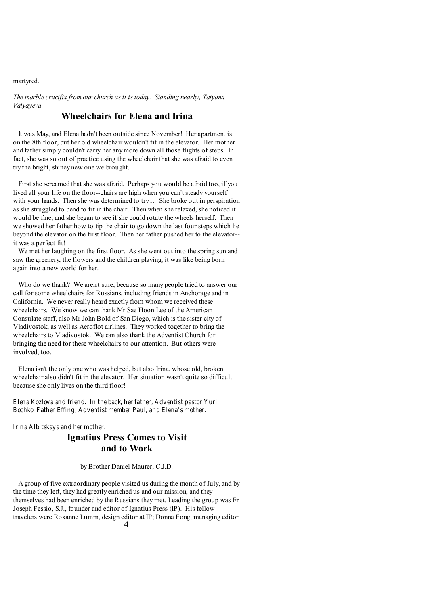martyred.

*The marble crucifix from our church as it is today. Standing nearby, Tatyana Valyayeva.*

# **Wheelchairs for Elena and Irina**

 It was May, and Elena hadn't been outside since November! Her apartment is on the 8th floor, but her old wheelchair wouldn't fit in the elevator. Her mother and father simply couldn't carry her anymore down all those flights of steps. In fact, she was so out of practice using the wheelchair that she was afraid to even try the bright, shiney new one we brought.

 First she screamed that she was afraid. Perhaps you would be afraid too, if you lived all your life on the floor--chairs are high when you can't steady yourself with your hands. Then she was determined to try it. She broke out in perspiration as she struggled to bend to fit in the chair. Then when she relaxed, she noticed it would be fine, and she began to see if she could rotate the wheels herself. Then we showed her father how to tip the chair to go down the last four steps which lie beyond the elevator on the first floor. Then her father pushed her to the elevator- it was a perfect fit!

 We met her laughing on the first floor. As she went out into the spring sun and saw the greenery, the flowers and the children playing, it was like being born again into a new world for her.

 Who do we thank? We aren't sure, because so many people tried to answer our call for some wheelchairs for Russians, including friends in Anchorage and in California. We never really heard exactly from whom we received these wheelchairs. We know we can thank Mr Sae Hoon Lee of the American Consulate staff, also Mr John Bold of San Diego, which is the sister city of Vladivostok, as well as Aeroflot airlines. They worked together to bring the wheelchairs to Vladivostok. We can also thank the Adventist Church for bringing the need for these wheelchairs to our attention. But others were involved, too.

 Elena isn't the only one who was helped, but also Irina, whose old, broken wheelchair also didn't fit in the elevator. Her situation wasn't quite so difficult because she only lives on the third floor!

#### *Elena Kozlova and friend. In the back, her father, Adventist pastor Yuri Bochko, Father Effing, Adventist member Paul, and Elena's mother.*

*Irina Albitskaya and her mother.* 

# **Ignatius Press Comes to Visit and to Work**

by Brother Daniel Maurer, C.J.D.

 A group of five extraordinary people visited us during the month of July, and by the time they left, they had greatly enriched us and our mission, and they themselves had been enriched by the Russians they met. Leading the group was Fr Joseph Fessio, S.J., founder and editor of Ignatius Press (IP). His fellow travelers were Roxanne Lumm, design editor at IP; Donna Fong, managing editor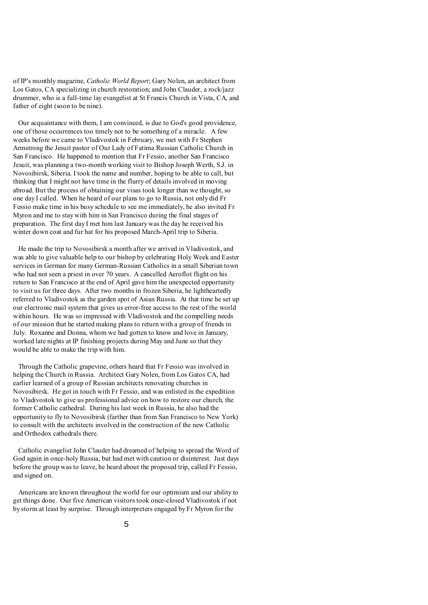of IP's monthly magazine, *Catholic World Report*; Gary Nolen, an architect from Los Gatos, CA specializing in church restoration; and John Clauder, a rock/jazz drummer, who is a full-time lay evangelist at St Francis Church in Vista, CA, and father of eight (soon to be nine).

 Our acquaintance with them, I am convinced, is due to God's good providence, one of those occurrences too timely not to be something of a miracle. A few weeks before we came to Vladivostok in February, we met with Fr Stephen Armstrong the Jesuit pastor of Our Lady of Fatima Russian Catholic Church in San Francisco. He happened to mention that Fr Fessio, another San Francisco Jesuit, was planning a two-month working visit to Bishop Joseph Werth, S.J. in Novosibirsk, Siberia. I took the name and number, hoping to be able to call, but thinking that I might not have time in the flurry of details involved in moving abroad. But the process of obtaining our visas took longer than we thought, so one day I called. When he heard of our plans to go to Russia, not only did Fr Fessio make time in his busy schedule to see me immediately, he also invited Fr Myron and me to stay with him in San Francisco during the final stages of preparation. The first day I met him last January was the day he received his winter down coat and fur hat for his proposed March-April trip to Siberia.

 He made the trip to Novosibirsk a month after we arrived in Vladivostok, and was able to give valuable help to our bishop by celebrating Holy Week and Easter services in German for many German-Russian Catholics in a small Siberian town who had not seen a priest in over 70 years. A cancelled Aeroflot flight on his return to San Francisco at the end of April gave him the unexpected opportunity to visit us for three days. After two months in frozen Siberia, he lightheartedly referred to Vladivostok as the garden spot of Asian Russia. At that time he set up our electronic mail system that gives us error-free access to the rest of the world within hours. He was so impressed with Vladivostok and the compelling needs of our mission that he started making plans to return with a group of friends in July. Roxanne and Donna, whom we had gotten to know and love in January, worked late nights at IP finishing projects during May and June so that they would be able to make the trip with him.

 Through the Catholic grapevine, others heard that Fr Fessio was involved in helping the Church in Russia. Architect Gary Nolen, from Los Gatos CA, had earlier learned of a group of Russian architects renovating churches in Novosibirsk. He got in touch with Fr Fessio, and was enlisted in the expedition to Vladivostok to give us professional advice on how to restore our church, the former Catholic cathedral. During his last week in Russia, he also had the opportunity to fly to Novosibirsk (farther than from San Francisco to New York) to consult with the architects involved in the construction of the new Catholic and Orthodox cathedrals there.

 Catholic evangelist John Clauder had dreamed of helping to spread the Word of God again in once-holy Russia, but had met with caution or disinterest. Just days before the group was to leave, he heard about the proposed trip, called Fr Fessio, and signed on.

 Americans are known throughout the world for our optimism and our ability to get things done. Our five American visitors took once-closed Vladivostok if not by storm at least by surprise. Through interpreters engaged by Fr Myron for the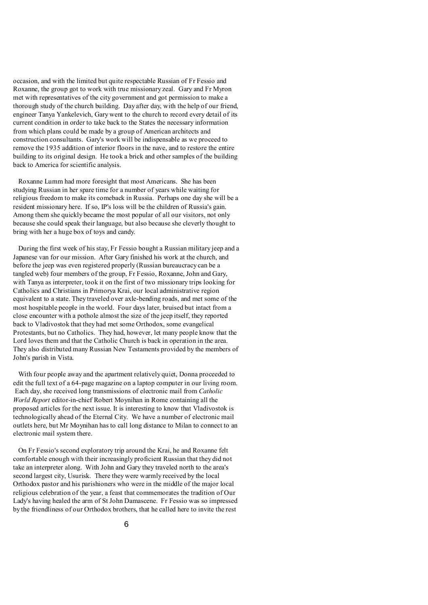occasion, and with the limited but quite respectable Russian of Fr Fessio and Roxanne, the group got to work with true missionary zeal. Gary and Fr Myron met with representatives of the city government and got permission to make a thorough study of the church building. Day after day, with the help of our friend, engineer Tanya Yankelevich, Gary went to the church to record every detail of its current condition in order to take back to the States the necessary information from which plans could be made by a group of American architects and construction consultants. Gary's work will be indispensable as we proceed to remove the 1935 addition of interior floors in the nave, and to restore the entire building to its original design. He took a brick and other samples of the building back to America for scientific analysis.

 Roxanne Lumm had more foresight that most Americans. She has been studying Russian in her spare time for a number of years while waiting for religious freedom to make its comeback in Russia. Perhaps one day she will be a resident missionary here. If so, IP's loss will be the children of Russia's gain. Among them she quickly became the most popular of all our visitors, not only because she could speak their language, but also because she cleverly thought to bring with her a huge box of toys and candy.

 During the first week of his stay, Fr Fessio bought a Russian military jeep and a Japanese van for our mission. After Gary finished his work at the church, and before the jeep was even registered properly (Russian bureaucracy can be a tangled web) four members of the group, Fr Fessio, Roxanne, John and Gary, with Tanya as interpreter, took it on the first of two missionary trips looking for Catholics and Christians in Primorya Krai, our local administrative region equivalent to a state. They traveled over axle-bending roads, and met some of the most hospitable people in the world. Four days later, bruised but intact from a close encounter with a pothole almost the size of the jeep itself, they reported back to Vladivostok that they had met some Orthodox, some evangelical Protestants, but no Catholics. They had, however, let many people know that the Lord loves them and that the Catholic Church is back in operation in the area. They also distributed many Russian New Testaments provided by the members of John's parish in Vista.

With four people away and the apartment relatively quiet, Donna proceeded to edit the full text of a 64-page magazine on a laptop computer in our living room. Each day, she received long transmissions of electronic mail from *Catholic World Report* editor-in-chief Robert Moynihan in Rome containing all the proposed articles for the next issue. It is interesting to know that Vladivostok is technologically ahead of the Eternal City. We have a number of electronic mail outlets here, but Mr Moynihan has to call long distance to Milan to connect to an electronic mail system there.

 On Fr Fessio's second exploratory trip around the Krai, he and Roxanne felt comfortable enough with their increasingly proficient Russian that they did not take an interpreter along. With John and Gary they traveled north to the area's second largest city, Usurisk. There they were warmly received by the local Orthodox pastor and his parishioners who were in the middle of the major local religious celebration of the year, a feast that commemorates the tradition of Our Lady's having healed the arm of St John Damascene. Fr Fessio was so impressed by the friendliness of our Orthodox brothers, that he called here to invite the rest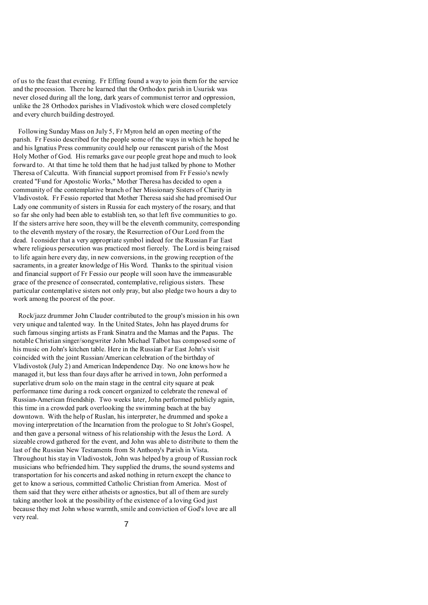of us to the feast that evening. Fr Effing found a way to join them for the service and the procession. There he learned that the Orthodox parish in Usurisk was never closed during all the long, dark years of communist terror and oppression, unlike the 28 Orthodox parishes in Vladivostok which were closed completely and every church building destroyed.

 Following Sunday Mass on July 5, Fr Myron held an open meeting of the parish. Fr Fessio described for the people some of the ways in which he hoped he and his Ignatius Press community could help our renascent parish of the Most Holy Mother of God. His remarks gave our people great hope and much to look forward to. At that time he told them that he had just talked by phone to Mother Theresa of Calcutta. With financial support promised from Fr Fessio's newly created "Fund for Apostolic Works," Mother Theresa has decided to open a community of the contemplative branch of her Missionary Sisters of Charity in Vladivostok. Fr Fessio reported that Mother Theresa said she had promised Our Lady one community of sisters in Russia for each mystery of the rosary, and that so far she only had been able to establish ten, so that left five communities to go. If the sisters arrive here soon, they will be the eleventh community, corresponding to the eleventh mystery of the rosary, the Resurrection of Our Lord from the dead. I consider that a very appropriate symbol indeed for the Russian Far East where religious persecution was practiced most fiercely. The Lord is being raised to life again here every day, in new conversions, in the growing reception of the sacraments, in a greater knowledge of His Word. Thanks to the spiritual vision and financial support of Fr Fessio our people will soon have the immeasurable grace of the presence of consecrated, contemplative, religious sisters. These particular contemplative sisters not only pray, but also pledge two hours a day to work among the poorest of the poor.

 Rock/jazz drummer John Clauder contributed to the group's mission in his own very unique and talented way. In the United States, John has played drums for such famous singing artists as Frank Sinatra and the Mamas and the Papas. The notable Christian singer/songwriter John Michael Talbot has composed some of his music on John's kitchen table. Here in the Russian Far East John's visit coincided with the joint Russian/American celebration of the birthday of Vladivostok (July 2) and American Independence Day. No one knows how he managed it, but less than four days after he arrived in town, John performed a superlative drum solo on the main stage in the central city square at peak performance time during a rock concert organized to celebrate the renewal of Russian-American friendship. Two weeks later, John performed publicly again, this time in a crowded park overlooking the swimming beach at the bay downtown. With the help of Ruslan, his interpreter, he drummed and spoke a moving interpretation of the Incarnation from the prologue to St John's Gospel, and then gave a personal witness of his relationship with the Jesus the Lord. A sizeable crowd gathered for the event, and John was able to distribute to them the last of the Russian New Testaments from St Anthony's Parish in Vista. Throughout his stay in Vladivostok, John was helped by a group of Russian rock musicians who befriended him. They supplied the drums, the sound systems and transportation for his concerts and asked nothing in return except the chance to get to know a serious, committed Catholic Christian from America. Most of them said that they were either atheists or agnostics, but all of them are surely taking another look at the possibility of the existence of a loving God just because they met John whose warmth, smile and conviction of God's love are all very real.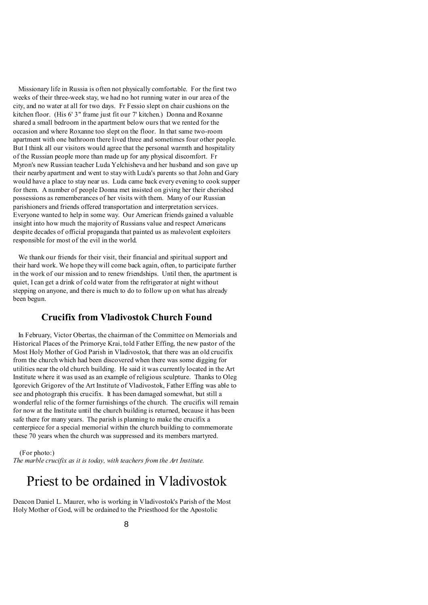Missionary life in Russia is often not physically comfortable. For the first two weeks of their three-week stay, we had no hot running water in our area of the city, and no water at all for two days. Fr Fessio slept on chair cushions on the kitchen floor. (His 6' 3" frame just fit our 7' kitchen.) Donna and Roxanne shared a small bedroom in the apartment below ours that we rented for the occasion and where Roxanne too slept on the floor. In that same two-room apartment with one bathroom there lived three and sometimes four other people. But I think all our visitors would agree that the personal warmth and hospitality of the Russian people more than made up for any physical discomfort. Fr Myron's new Russian teacher Luda Yelchisheva and her husband and son gave up their nearby apartment and went to stay with Luda's parents so that John and Gary would have a place to stay near us. Luda came back every evening to cook supper for them. A number of people Donna met insisted on giving her their cherished possessions as rememberances of her visits with them. Many of our Russian parishioners and friends offered transportation and interpretation services. Everyone wanted to help in some way. Our American friends gained a valuable insight into how much the majority of Russians value and respect Americans despite decades of official propaganda that painted us as malevolent exploiters responsible for most of the evil in the world.

 We thank our friends for their visit, their financial and spiritual support and their hard work. We hope they will come back again, often, to participate further in the work of our mission and to renew friendships. Until then, the apartment is quiet, I can get a drink of cold water from the refrigerator at night without stepping on anyone, and there is much to do to follow up on what has already been begun.

## **Crucifix from Vladivostok Church Found**

 In February, Victor Obertas, the chairman of the Committee on Memorials and Historical Places of the Primorye Krai, told Father Effing, the new pastor of the Most Holy Mother of God Parish in Vladivostok, that there was an old crucifix from the church which had been discovered when there was some digging for utilities near the old church building. He said it was currently located in the Art Institute where it was used as an example of religious sculpture. Thanks to Oleg Igorevich Grigorev of the Art Institute of Vladivostok, Father Effing was able to see and photograph this crucifix. It has been damaged somewhat, but still a wonderful relic of the former furnishings of the church. The crucifix will remain for now at the Institute until the church building is returned, because it has been safe there for many years. The parish is planning to make the crucifix a centerpiece for a special memorial within the church building to commemorate these 70 years when the church was suppressed and its members martyred.

(For photo:)

*The marble crucifix as it is today, with teachers from the Art Institute.*

# Priest to be ordained in Vladivostok

Deacon Daniel L. Maurer, who is working in Vladivostok's Parish of the Most Holy Mother of God, will be ordained to the Priesthood for the Apostolic